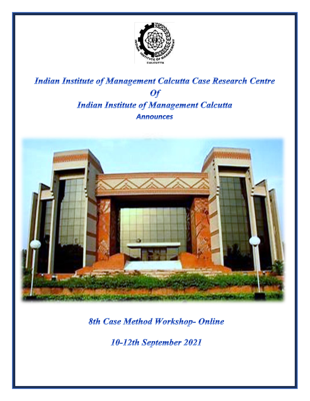

# **Indian Institute of Management Calcutta Case Research Centre Of Indian Institute of Management Calcutta Announces**



**8th Case Method Workshop- Online** 

10-12th September 2021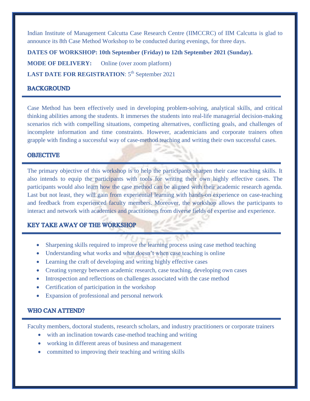Indian Institute of Management Calcutta Case Research Centre (IIMCCRC) of IIM Calcutta is glad to announce its 8th Case Method Workshop to be conducted during evenings, for three days.

**DATES OF WORKSHOP: 10th September (Friday) to 12th September 2021 (Sunday).**

**MODE OF DELIVERY:** Online (over zoom platform)

**LAST DATE FOR REGISTRATION:**  $5^{th}$  September 2021

## **BACKGROUND**

Case Method has been effectively used in developing problem-solving, analytical skills, and critical thinking abilities among the students. It immerses the students into real-life managerial decision-making scenarios rich with compelling situations, competing alternatives, conflicting goals, and challenges of incomplete information and time constraints. However, academicians and corporate trainers often grapple with finding a successful way of case-method teaching and writing their own successful cases.

#### **OBJECTIVE**

The primary objective of this workshop is to help the participants sharpen their case teaching skills. It also intends to equip the participants with tools for writing their own highly effective cases. The participants would also learn how the case method can be aligned with their academic research agenda. Last but not least, they will gain from experiential learning with hands-on experience on case-teaching and feedback from experienced faculty members. Moreover, the workshop allows the participants to interact and network with academics and practitioners from diverse fields of expertise and experience.

# **KEY TAKE AWAY OF THE WORKSHOP**

- Sharpening skills required to improve the learning process using case method teaching
- Understanding what works and what doesn't when case teaching is online
- Learning the craft of developing and writing highly effective cases
- Creating synergy between academic research, case teaching, developing own cases
- Introspection and reflections on challenges associated with the case method
- Certification of participation in the workshop
- Expansion of professional and personal network

#### **WHO CAN ATTEND?**

Faculty members, doctoral students, research scholars, and industry practitioners or corporate trainers

- with an inclination towards case-method teaching and writing
- working in different areas of business and management
- committed to improving their teaching and writing skills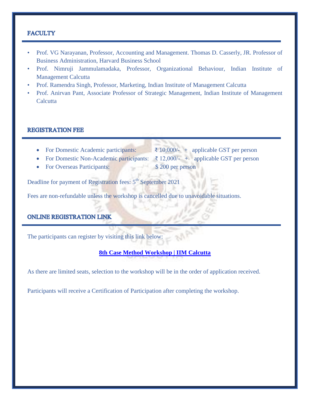## **FACULTY**

- Prof. VG Narayanan, Professor, Accounting and Management. Thomas D. Casserly, JR. Professor of Business Administration, Harvard Business School
- Prof. Nimruji Jammulamadaka, Professor, Organizational Behaviour, Indian Institute of Management Calcutta
- Prof. Ramendra Singh, Professor, Marketing, Indian Institute of Management Calcutta
- Prof. Anirvan Pant, Associate Professor of Strategic Management, Indian Institute of Management **Calcutta**

#### **REGISTRATION FEE**

- For Domestic Academic participants:  $\bar{\xi}$  10,000/- + applicable GST per person
- For Domestic Non-Academic participants:  $\bar{\tau}$  12,000/- + applicable GST per person
	-
- For Overseas Participants: \$200 per person

Deadline for payment of Registration fees: 5<sup>th</sup> September 2021

Fees are non-refundable unless the workshop is cancelled due to unavoidable situations.

## **ONLINE REGISTRATION LINK**

The participants can register by visiting this link below:

**[8th Case Method Workshop | IIM Calcutta](https://www.iimcal.ac.in/8th-case-method-workshop-0)**

As there are limited seats, selection to the workshop will be in the order of application received.

Participants will receive a Certification of Participation after completing the workshop.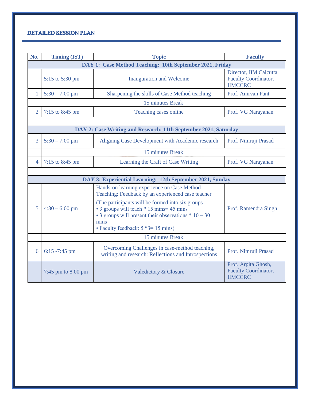# DETAILED SESSION PLAN

| No.                                                             | <b>Timing (IST)</b>  | <b>Topic</b>                                                                                                                                                                                              | <b>Faculty</b>                                                       |
|-----------------------------------------------------------------|----------------------|-----------------------------------------------------------------------------------------------------------------------------------------------------------------------------------------------------------|----------------------------------------------------------------------|
| DAY 1: Case Method Teaching: 10th September 2021, Friday        |                      |                                                                                                                                                                                                           |                                                                      |
|                                                                 | 5:15 to 5:30 pm      | <b>Inauguration and Welcome</b>                                                                                                                                                                           | Director, IIM Calcutta<br>Faculty Coordinator,<br><b>IIMCCRC</b>     |
| 1                                                               | $5:30 - 7:00$ pm     | Sharpening the skills of Case Method teaching                                                                                                                                                             | Prof. Anirvan Pant                                                   |
| 15 minutes Break                                                |                      |                                                                                                                                                                                                           |                                                                      |
| $\overline{2}$                                                  | 7:15 to 8:45 pm      | Teaching cases online                                                                                                                                                                                     | Prof. VG Narayanan                                                   |
|                                                                 |                      |                                                                                                                                                                                                           |                                                                      |
| DAY 2: Case Writing and Research: 11th September 2021, Saturday |                      |                                                                                                                                                                                                           |                                                                      |
| 3                                                               | $5:30 - 7:00$ pm     | Aligning Case Development with Academic research                                                                                                                                                          | Prof. Nimruji Prasad                                                 |
| 15 minutes Break                                                |                      |                                                                                                                                                                                                           |                                                                      |
| $\overline{4}$                                                  | 7:15 to 8:45 pm      | Learning the Craft of Case Writing                                                                                                                                                                        | Prof. VG Narayanan                                                   |
|                                                                 |                      |                                                                                                                                                                                                           |                                                                      |
| DAY 3: Experiential Learning: 12th September 2021, Sunday       |                      |                                                                                                                                                                                                           |                                                                      |
|                                                                 |                      | Hands-on learning experience on Case Method<br>Teaching: Feedback by an experienced case teacher                                                                                                          |                                                                      |
| 5                                                               | $4:30 - 6:00$ pm     | (The participants will be formed into six groups)<br>• 3 groups will teach * 15 mins = 45 mins<br>• 3 groups will present their observations $*$ 10 = 30<br>mins<br>• Faculty feedback: $5 *3 = 15$ mins) | Prof. Ramendra Singh                                                 |
|                                                                 | 15 minutes Break     |                                                                                                                                                                                                           |                                                                      |
| 6                                                               | $6:15 - 7:45$ pm     | Overcoming Challenges in case-method teaching,<br>writing and research: Reflections and Introspections                                                                                                    | Prof. Nimruji Prasad                                                 |
|                                                                 | 7:45 pm to $8:00$ pm | <b>Valedictory &amp; Closure</b>                                                                                                                                                                          | Prof. Arpita Ghosh,<br><b>Faculty Coordinator,</b><br><b>IIMCCRC</b> |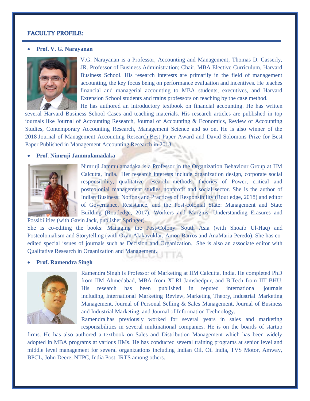### **FACULTY PROFILE:**

#### **Prof. V. G. Narayanan**



V.G. Narayanan is a Professor, Accounting and Management; Thomas D. Casserly, JR. Professor of Business Administration; Chair, MBA Elective Curriculum, Harvard Business School. His research interests are primarily in the field of management accounting, the key focus being on performance evaluation and incentives. He teaches financial and managerial accounting to MBA students, executives, and Harvard Extension School students and trains professors on teaching by the case method. He has authored an introductory textbook on financial accounting. He has written

several Harvard Business School Cases and teaching materials. His research articles are published in top journals like Journal of Accounting Research, Journal of Accounting & Economics, Review of Accounting Studies, Contemporary Accounting Research, Management Science and so on. He is also winner of the 2018 Journal of Management Accounting Research Best Paper Award and David Solomons Prize for Best Paper Published in Management Accounting Research in 2018.

#### **Prof. Nimruji Jammulamadaka**



Nimruji Jammulamadaka is a Professor in the Organization Behaviour Group at IIM Calcutta, India. Her research interests include organization design, corporate social responsibility, qualitative research methods, theories of Power, critical and postcolonial management studies, nonprofit and social sector. She is the author of Indian Business: Notions and Practices of Responsibility (Routledge, 2018) and editor of Governance, Resistance, and the Post-colonial State: Management and State Building (Routledge, 2017), Workers and Margins: Understanding Erasures and

Possibilities (with Gavin Jack, publisher Springer).

She is co-editing the books: Managing the Post-Colony: South Asia (with Shoaib Ul-Haq) and Postcolonialism and Storytelling (with Ozan Alakavuklar, Amon Barros and AnaMaria Peredo). She has coedited special issues of journals such as Decision and Organization. She is also an associate editor with Qualitative Research in Organization and Management.

#### **Prof. Ramendra Singh**



Ramendra Singh is Professor of Marketing at IIM Calcutta, India. He completed PhD from IIM Ahmedabad, MBA from XLRI Jamshedpur, and B.Tech from IIT-BHU. His research has been published in reputed international journals including, International Marketing Review, Marketing Theory, Industrial Marketing Management, Journal of Personal Selling & Sales Management, Journal of Business and Industrial Marketing, and Journal of Information Technology.

Ramendra has previously worked for several years in sales and marketing responsibilities in several multinational companies. He is on the boards of startup

firms. He has also authored a textbook on Sales and Distribution Management which has been widely adopted in MBA programs at various IIMs. He has conducted several training programs at senior level and middle level management for several organizations including Indian Oil, Oil India, TVS Motor, Amway, BPCL, John Deere, NTPC, India Post, IRTS among others.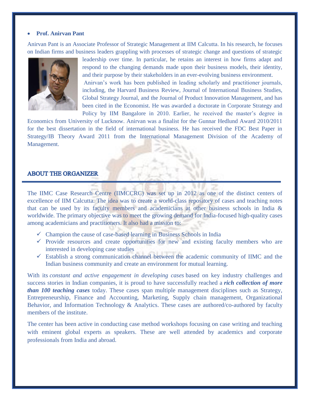#### **Prof. Anirvan Pant**

Anirvan Pant is an Associate Professor of Strategic Management at IIM Calcutta. In his research, he focuses on Indian firms and business leaders grappling with processes of strategic change and questions of strategic



leadership over time. In particular, he retains an interest in how firms adapt and respond to the changing demands made upon their business models, their identity, and their purpose by their stakeholders in an ever-evolving business environment. Anirvan's work has been published in leading scholarly and practitioner journals, including, the Harvard Business Review, Journal of International Business Studies, Global Strategy Journal, and the Journal of Product Innovation Management, and has been cited in the Economist. He was awarded a doctorate in Corporate Strategy and Policy by IIM Bangalore in 2010. Earlier, he received the master's degree in

Economics from University of Lucknow. Anirvan was a finalist for the Gunnar Hedlund Award 2010/2011 for the best dissertation in the field of international business. He has received the FDC Best Paper in Strategy/IB Theory Award 2011 from the International Management Division of the Academy of Management.

## **ABOUT THE ORGANIZER**

The IIMC Case Research Centre (IIMCCRC) was set up in 2012 as one of the distinct centers of excellence of IIM Calcutta. The idea was to create a world-class repository of cases and teaching notes that can be used by its faculty members and academicians at other business schools in India & worldwide. The primary objective was to meet the growing demand for India-focused high-quality cases among academicians and practitioners. It also had a mission to:

- $\checkmark$  Champion the cause of case-based learning in Business Schools in India
- $\checkmark$  Provide resources and create opportunities for new and existing faculty members who are interested in developing case studies
- $\checkmark$  Establish a strong communication channel between the academic community of IIMC and the Indian business community and create an environment for mutual learning.

With its *constant and active engagement in developing cases* based on key industry challenges and success stories in Indian companies, it is proud to have successfully reached a *rich collection of more than 100 teaching cases* today. These cases span multiple management disciplines such as Strategy, Entrepreneurship, Finance and Accounting, Marketing, Supply chain management, Organizational Behavior, and Information Technology & Analytics. These cases are authored/co-authored by faculty members of the institute.

The center has been active in conducting case method workshops focusing on case writing and teaching with eminent global experts as speakers. These are well attended by academics and corporate professionals from India and abroad.